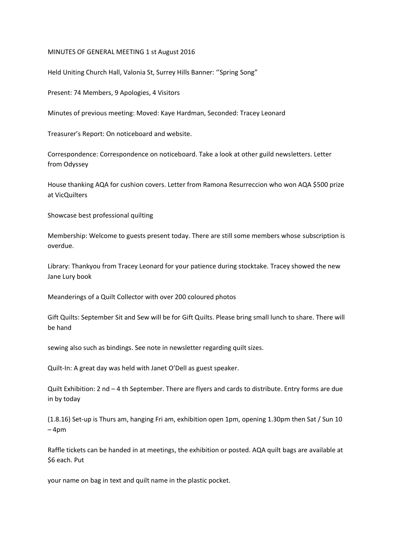## MINUTES OF GENERAL MEETING 1 st August 2016

Held Uniting Church Hall, Valonia St, Surrey Hills Banner: ''Spring Song"

Present: 74 Members, 9 Apologies, 4 Visitors

Minutes of previous meeting: Moved: Kaye Hardman, Seconded: Tracey Leonard

Treasurer's Report: On noticeboard and website.

Correspondence: Correspondence on noticeboard. Take a look at other guild newsletters. Letter from Odyssey

House thanking AQA for cushion covers. Letter from Ramona Resurreccion who won AQA \$500 prize at VicQuilters

Showcase best professional quilting

Membership: Welcome to guests present today. There are still some members whose subscription is overdue.

Library: Thankyou from Tracey Leonard for your patience during stocktake. Tracey showed the new Jane Lury book

Meanderings of a Quilt Collector with over 200 coloured photos

Gift Quilts: September Sit and Sew will be for Gift Quilts. Please bring small lunch to share. There will be hand

sewing also such as bindings. See note in newsletter regarding quilt sizes.

Quilt-In: A great day was held with Janet O'Dell as guest speaker.

Quilt Exhibition: 2 nd – 4 th September. There are flyers and cards to distribute. Entry forms are due in by today

(1.8.16) Set-up is Thurs am, hanging Fri am, exhibition open 1pm, opening 1.30pm then Sat / Sun 10 – 4pm

Raffle tickets can be handed in at meetings, the exhibition or posted. AQA quilt bags are available at \$6 each. Put

your name on bag in text and quilt name in the plastic pocket.